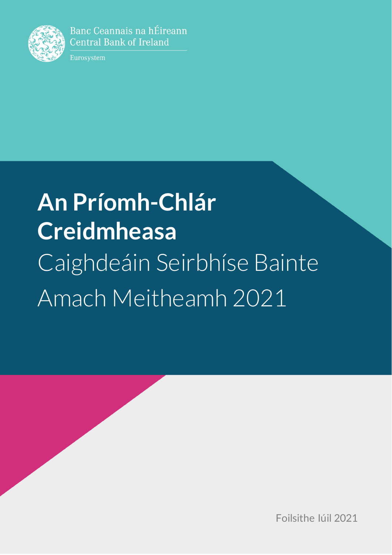

Banc Ceannais na hÉireann **Central Bank of Ireland** 

Eurosystem

# **An Príomh-Chlár Creidmheasa** Caighdeáin Seirbhíse Bainte Amach Meitheamh 2021

Foilsithe Iúil 2021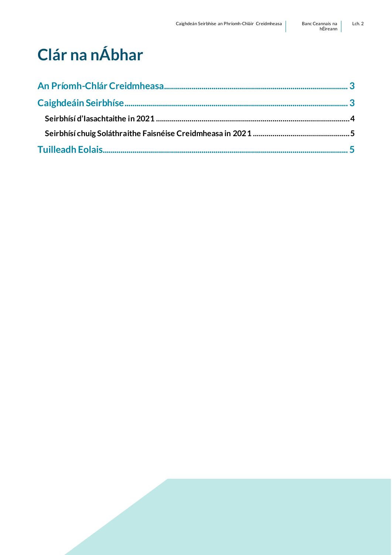# **Clár na nÁbhar**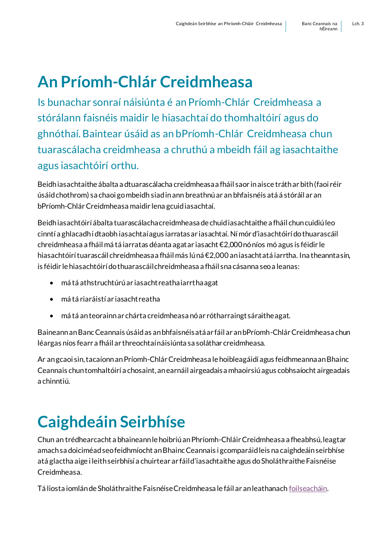## <span id="page-2-0"></span>**An Príomh-Chlár Creidmheasa**

Is bunachar sonraí náisiúnta é an Príomh-Chlár Creidmheasa a stórálann faisnéis maidir le hiasachtaí do thomhaltóirí agus do ghnóthaí. Baintear úsáid as an bPríomh-Chlár Creidmheasa chun tuarascálacha creidmheasa a chruthú a mbeidh fáil ag iasachtaithe agus iasachtóirí orthu.

Beidh iasachtaithe ábalta a dtuarascálacha creidmheasa a fháil saor in aisce tráth ar bith (faoi réir úsáid chothrom) sa chaoi go mbeidh siad in ann breathnú ar an bhfaisnéis atá á stóráil ar an bPríomh-Chlár Creidmheasa maidir lena gcuid iasachtaí.

Beidh iasachtóirí ábalta tuarascálacha creidmheasa de chuid iasachtaithe a fháil chun cuidiú leo cinntí a ghlacadh i dtaobh iasachtaí agus iarratas ar iasachtaí. Ní mór d'iasachtóirí do thuarascáil chreidmheasa a fháil má tá iarratas déanta agat ar iasacht €2,000 nó níos mó agus is féidir le hiasachtóirí tuarascáil chreidmheasa a fháil más lú ná €2,000 an iasacht atá iarrtha. Ina theannta sin, is féidir le hiasachtóirí do thuarascáil chreidmheasa a fháil sna cásanna seo a leanas:

- má tá athstruchtúrú ar iasacht reatha iarrtha agat
- má tá riaráistí ar iasacht reatha
- má tá an teorainn ar chárta creidmheasa nó ar rótharraingt sáraithe agat.

Baineann an Banc Ceannais úsáid as an bhfaisnéis atá ar fáil ar an bPríomh-Chlár Creidmheasa chun léargas níos fearr a fháil ar threochtaí náisiúnta sa soláthar creidmheasa.

Ar an gcaoi sin, tacaíonn an Príomh-Chlár Creidmheasa le hoibleagáidí agus feidhmeanna an Bhainc Ceannais chun tomhaltóirí a chosaint, an earnáil airgeadais a mhaoirsiú agus cobhsaíocht airgeadais a chinntiú.

## <span id="page-2-1"></span>**Caighdeáin Seirbhíse**

Chun an trédhearcacht a bhaineann le hoibriú an Phríomh-Chláir Creidmheasa a fheabhsú, leagtar amach sa doiciméad seo feidhmíocht an Bhainc Ceannais i gcomparáid leis na caighdeáin seirbhíse atá glactha aige i leith seirbhísí a chuirtear ar fáil d'iasachtaithe agus do Sholáthraithe Faisnéise Creidmheasa.

Tá liosta iomlán de Sholáthraithe Faisnéise Creidmheasa le fáil ar an leathanac[h foilseacháin](https://www.centralcreditregister.ie/ga/iasachtaithe/foilseach%C3%A1n/).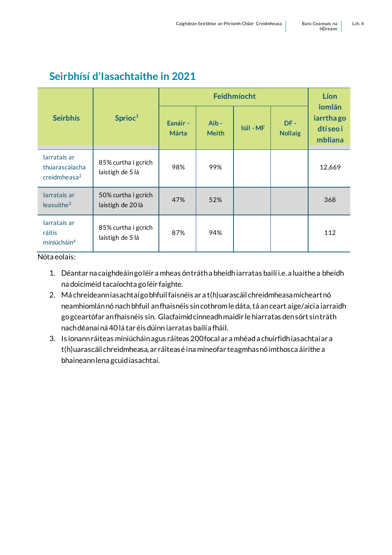#### <span id="page-3-0"></span>**Seirbhísí d'Iasachtaithe in 2021**

|                                                            | Sprioc <sup>1</sup>                      | Feidhmíocht              |                         |           |                       | Líon                                               |
|------------------------------------------------------------|------------------------------------------|--------------------------|-------------------------|-----------|-----------------------|----------------------------------------------------|
| <b>Seirbhís</b>                                            |                                          | Eanáir -<br><b>Márta</b> | $Aib -$<br><b>Meith</b> | Iúil - MF | DF-<br><b>Nollaig</b> | iomlán<br><i>iarrthago</i><br>dtí seo i<br>mbliana |
| larratais ar<br>thuarascálacha<br>creidmheasa <sup>2</sup> | 85% curtha i gcrích<br>laistigh de 5 lá  | 98%                      | 99%                     |           |                       | 12,669                                             |
| larratais ar<br>leasuithe <sup>3</sup>                     | 50% curtha i gcrích<br>laistigh de 20 lá | 47%                      | 52%                     |           |                       | 368                                                |
| larratais ar<br>ráitis<br>míniúcháin <sup>4</sup>          | 85% curtha i gcrích<br>laistigh de 5 lá  | 87%                      | 94%                     |           |                       | 112                                                |

Nóta eolais:

- 1. Déantar na caighdeáin go léir a mheas ón tráth a bheidh iarratas bailí i.e. a luaithe a bheidh na doiciméid tacaíochta go léir faighte.
- 2. Má chreideann iasachtaí go bhfuil faisnéis ar a t(h)uarascáil chreidmheasa mícheart nó neamhiomlán nó nach bhfuil an fhaisnéis sin cothrom le dáta, tá an ceart aige/aici a iarraidh go gceartófar an fhaisnéis sin. Glacfaimid cinneadh maidir le hiarratas den sórt sin tráth nach déanaí ná 40 lá tar éis dúinn iarratas bailí a fháil.
- 3. Is ionann ráiteas míniúcháin agus ráiteas 200 focal ar a mhéad a chuirfidh iasachtaí ar a t(h)uarascáil chreidmheasa, ar ráiteas é ina míneofar teagmhas nó imthosca áirithe a bhaineann lena gcuid iasachtaí.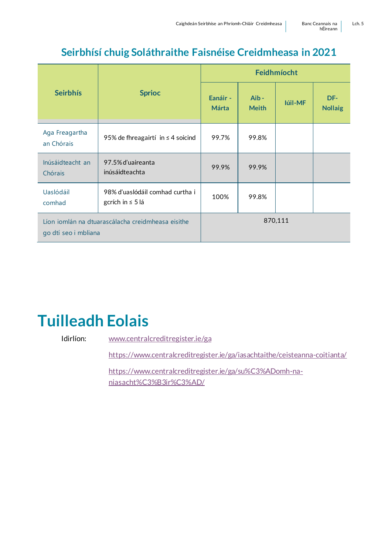#### **Seirbhísí chuig Soláthraithe Faisnéise Creidmheasa in 2021**

<span id="page-4-0"></span>

|                                                                           |                                                          | Feidhmíocht              |                      |         |                       |
|---------------------------------------------------------------------------|----------------------------------------------------------|--------------------------|----------------------|---------|-----------------------|
| <b>Seirbhís</b>                                                           | <b>Sprioc</b>                                            | Eanáir -<br><b>Márta</b> | Aib-<br><b>Meith</b> | Iúil-MF | DF-<br><b>Nollaig</b> |
| Aga Freagartha<br>an Chórais                                              | 95% de fhreagairtí in $\leq 4$ soicind                   | 99.7%                    | 99.8%                |         |                       |
| Inúsáidteacht an<br>Chórais                                               | 97.5% d'uaireanta<br>inúsáidteachta                      | 99.9%                    | 99.9%                |         |                       |
| <b>Uaslódáil</b><br>comhad                                                | 98% d'uaslódáil comhad curtha i<br>gcrích in $\leq 5$ lá | 100%                     | 99.8%                |         |                       |
| Líon iomlán na dtuarascálacha creidmheasa eisithe<br>go dtí seo i mbliana |                                                          | 870,111                  |                      |         |                       |

## <span id="page-4-1"></span>**Tuilleadh Eolais**

Idirlíon: [www.centralcreditregister.ie/ga](http://www.centralcreditregister.ie/ga)

<https://www.centralcreditregister.ie/ga/iasachtaithe/ceisteanna-coitianta/>

[https://www.centralcreditregister.ie/ga/su%C3%ADomh-na](https://www.centralcreditregister.ie/ga/su%C3%ADomh-na-niasacht%C3%B3ir%C3%AD/)[niasacht%C3%B3ir%C3%AD/](https://www.centralcreditregister.ie/ga/su%C3%ADomh-na-niasacht%C3%B3ir%C3%AD/)